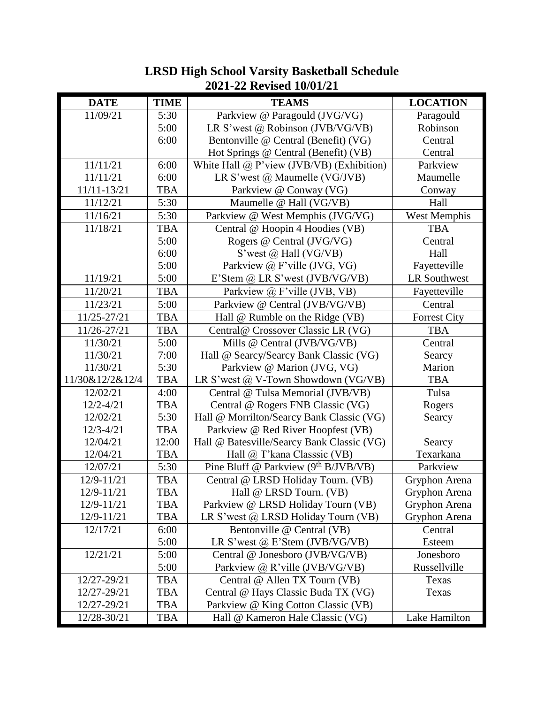| <b>LRSD High School Varsity Basketball Schedule</b> |                          |  |
|-----------------------------------------------------|--------------------------|--|
|                                                     | 2021-22 Revised 10/01/21 |  |

| <b>DATE</b>     | <b>TIME</b> | <b>TEAMS</b>                                     | <b>LOCATION</b>     |
|-----------------|-------------|--------------------------------------------------|---------------------|
| 11/09/21        | 5:30        | Parkview @ Paragould (JVG/VG)                    | Paragould           |
|                 | 5:00        | LR S'west @ Robinson (JVB/VG/VB)                 | Robinson            |
|                 | 6:00        | Bentonville @ Central (Benefit) (VG)             | Central             |
|                 |             | Hot Springs @ Central (Benefit) (VB)             | Central             |
| 11/11/21        | 6:00        | White Hall $\omega$ P'view (JVB/VB) (Exhibition) | Parkview            |
| 11/11/21        | 6:00        | LR S'west $(a)$ Maumelle (VG/JVB)                | Maumelle            |
| 11/11-13/21     | <b>TBA</b>  | Parkview @ Conway (VG)                           | Conway              |
| 11/12/21        | 5:30        | Maumelle @ Hall (VG/VB)                          | Hall                |
| 11/16/21        | 5:30        | Parkview @ West Memphis (JVG/VG)                 | West Memphis        |
| 11/18/21        | <b>TBA</b>  | Central @ Hoopin 4 Hoodies (VB)                  | <b>TBA</b>          |
|                 | 5:00        | Rogers @ Central (JVG/VG)                        | Central             |
|                 | 6:00        | S'west @ Hall (VG/VB)                            | Hall                |
|                 | 5:00        | Parkview @ F'ville (JVG, VG)                     | Fayetteville        |
| 11/19/21        | 5:00        | E'Stem $\omega$ LR S'west (JVB/VG/VB)            | <b>LR Southwest</b> |
| 11/20/21        | <b>TBA</b>  | Parkview @ F'ville (JVB, VB)                     | Fayetteville        |
| 11/23/21        | 5:00        | Parkview @ Central (JVB/VG/VB)                   | Central             |
| 11/25-27/21     | <b>TBA</b>  | Hall @ Rumble on the Ridge (VB)                  | <b>Forrest City</b> |
| 11/26-27/21     | <b>TBA</b>  | Central@ Crossover Classic LR (VG)               | <b>TBA</b>          |
| 11/30/21        | 5:00        | Mills @ Central (JVB/VG/VB)                      | Central             |
| 11/30/21        | 7:00        | Hall @ Searcy/Searcy Bank Classic (VG)           | Searcy              |
| 11/30/21        | 5:30        | Parkview @ Marion (JVG, VG)                      | Marion              |
| 11/30&12/2&12/4 | <b>TBA</b>  | LR S'west $@V$ -Town Showdown (VG/VB)            | <b>TBA</b>          |
| 12/02/21        | 4:00        | Central @ Tulsa Memorial (JVB/VB)                | Tulsa               |
| $12/2 - 4/21$   | <b>TBA</b>  | Central @ Rogers FNB Classic (VG)                | Rogers              |
| 12/02/21        | 5:30        | Hall @ Morrilton/Searcy Bank Classic (VG)        | Searcy              |
| $12/3 - 4/21$   | <b>TBA</b>  | Parkview @ Red River Hoopfest (VB)               |                     |
| 12/04/21        | 12:00       | Hall @ Batesville/Searcy Bank Classic (VG)       | Searcy              |
| 12/04/21        | <b>TBA</b>  | Hall @ T'kana Classsic (VB)                      | Texarkana           |
| 12/07/21        | 5:30        | Pine Bluff @ Parkview (9 <sup>th</sup> B/JVB/VB) | Parkview            |
| 12/9-11/21      | <b>TBA</b>  | Central @ LRSD Holiday Tourn. (VB)               | Gryphon Arena       |
| 12/9-11/21      | <b>TBA</b>  | Hall @ LRSD Tourn. (VB)                          | Gryphon Arena       |
| 12/9-11/21      | <b>TBA</b>  | Parkview @ LRSD Holiday Tourn (VB)               | Gryphon Arena       |
| 12/9-11/21      | <b>TBA</b>  | LR S'west @ LRSD Holiday Tourn (VB)              | Gryphon Arena       |
| 12/17/21        | 6:00        | Bentonville @ Central (VB)                       | Central             |
|                 | 5:00        | LR S'west $(a)$ E'Stem (JVB/VG/VB)               | Esteem              |
| 12/21/21        | 5:00        | Central @ Jonesboro (JVB/VG/VB)                  | Jonesboro           |
|                 | 5:00        | Parkview @ R'ville (JVB/VG/VB)                   | Russellville        |
| 12/27-29/21     | <b>TBA</b>  | Central @ Allen TX Tourn (VB)                    | Texas               |
| 12/27-29/21     | TBA         | Central @ Hays Classic Buda TX (VG)              | Texas               |
| 12/27-29/21     | <b>TBA</b>  | Parkview @ King Cotton Classic (VB)              |                     |
| 12/28-30/21     | <b>TBA</b>  | Hall @ Kameron Hale Classic (VG)                 | Lake Hamilton       |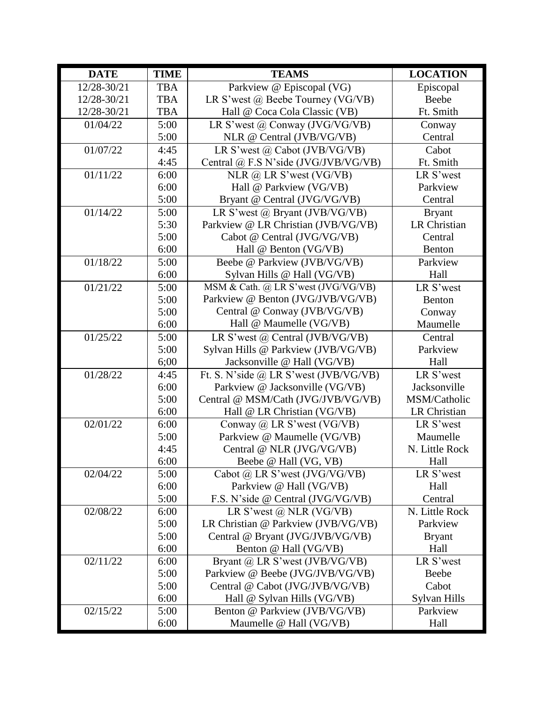| <b>DATE</b> | <b>TIME</b> | <b>TEAMS</b>                          | <b>LOCATION</b>     |
|-------------|-------------|---------------------------------------|---------------------|
| 12/28-30/21 | <b>TBA</b>  | Parkview @ Episcopal (VG)             | Episcopal           |
| 12/28-30/21 | <b>TBA</b>  | LR S'west @ Beebe Tourney (VG/VB)     | Beebe               |
| 12/28-30/21 | <b>TBA</b>  | Hall @ Coca Cola Classic (VB)         | Ft. Smith           |
| 01/04/22    | 5:00        | LR S'west $(a)$ Conway (JVG/VG/VB)    | Conway              |
|             | 5:00        | NLR @ Central (JVB/VG/VB)             | Central             |
| 01/07/22    | 4:45        | LR S'west @ Cabot (JVB/VG/VB)         | Cabot               |
|             | 4:45        | Central @ F.S N'side (JVG/JVB/VG/VB)  | Ft. Smith           |
| 01/11/22    | 6:00        | NLR $\omega$ LR S'west (VG/VB)        | LR S'west           |
|             | 6:00        | Hall @ Parkview (VG/VB)               | Parkview            |
|             | 5:00        | Bryant @ Central (JVG/VG/VB)          | Central             |
| 01/14/22    | 5:00        | LR S'west @ Bryant (JVB/VG/VB)        | <b>Bryant</b>       |
|             | 5:30        | Parkview @ LR Christian (JVB/VG/VB)   | <b>LR Christian</b> |
|             | 5:00        | Cabot @ Central (JVG/VG/VB)           | Central             |
|             | 6:00        | Hall @ Benton (VG/VB)                 | Benton              |
| 01/18/22    | 5:00        | Beebe @ Parkview (JVB/VG/VB)          | Parkview            |
|             | 6:00        | Sylvan Hills @ Hall (VG/VB)           | Hall                |
| 01/21/22    | 5:00        | MSM & Cath. @ LR S'west (JVG/VG/VB)   | LR S'west           |
|             | 5:00        | Parkview @ Benton (JVG/JVB/VG/VB)     | Benton              |
|             | 5:00        | Central @ Conway (JVB/VG/VB)          | Conway              |
|             | 6:00        | Hall @ Maumelle (VG/VB)               | Maumelle            |
| 01/25/22    | 5:00        | LR S'west $(a)$ Central (JVB/VG/VB)   | Central             |
|             | 5:00        | Sylvan Hills @ Parkview (JVB/VG/VB)   | Parkview            |
|             | 6;00        | Jacksonville @ Hall (VG/VB)           | Hall                |
| 01/28/22    | 4:45        | Ft. S. N'side @ LR S'west (JVB/VG/VB) | LR S'west           |
|             | 6:00        | Parkview @ Jacksonville (VG/VB)       | Jacksonville        |
|             | 5:00        | Central @ MSM/Cath (JVG/JVB/VG/VB)    | MSM/Catholic        |
|             | 6:00        | Hall @ LR Christian (VG/VB)           | LR Christian        |
| 02/01/22    | 6:00        | Conway @ LR S'west (VG/VB)            | LR S'west           |
|             | 5:00        | Parkview @ Maumelle (VG/VB)           | Maumelle            |
|             | 4:45        | Central @ NLR (JVG/VG/VB)             | N. Little Rock      |
|             | 6:00        | Beebe @ Hall (VG, VB)                 | Hall                |
| 02/04/22    | 5:00        | Cabot @ LR S'west (JVG/VG/VB)         | LR S'west           |
|             | 6:00        | Parkview @ Hall (VG/VB)               | Hall                |
|             | 5:00        | F.S. N'side @ Central (JVG/VG/VB)     | Central             |
| 02/08/22    | 6:00        | LR S'west $\omega$ NLR (VG/VB)        | N. Little Rock      |
|             | 5:00        | LR Christian @ Parkview (JVB/VG/VB)   | Parkview            |
|             | 5:00        | Central @ Bryant (JVG/JVB/VG/VB)      | <b>Bryant</b>       |
|             | 6:00        | Benton @ Hall (VG/VB)                 | Hall                |
| 02/11/22    | 6:00        | Bryant @ LR S'west (JVB/VG/VB)        | LR S'west           |
|             | 5:00        | Parkview @ Beebe (JVG/JVB/VG/VB)      | Beebe               |
|             | 5:00        | Central @ Cabot (JVG/JVB/VG/VB)       | Cabot               |
|             | 6:00        | Hall @ Sylvan Hills (VG/VB)           | Sylvan Hills        |
| 02/15/22    | 5:00        | Benton @ Parkview (JVB/VG/VB)         | Parkview            |
|             | 6:00        | Maumelle @ Hall (VG/VB)               | Hall                |